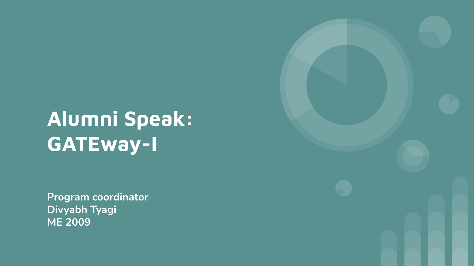# **Alumni Speak: GATEway-I**

**Program coordinator Divyabh Tyagi ME 2009**

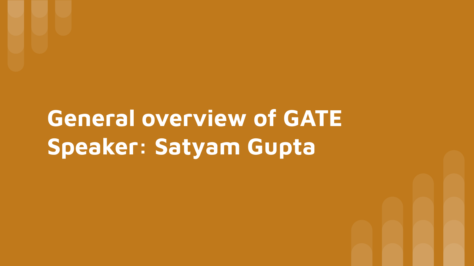# **General overview of GATE Speaker: Satyam Gupta**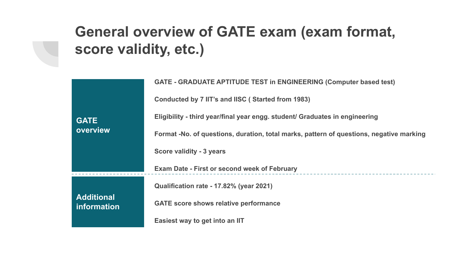# **General overview of GATE exam (exam format, score validity, etc.)**

|                                  | <b>GATE - GRADUATE APTITUDE TEST in ENGINEERING (Computer based test)</b>               |  |  |
|----------------------------------|-----------------------------------------------------------------------------------------|--|--|
|                                  | Conducted by 7 IIT's and IISC (Started from 1983)                                       |  |  |
| <b>GATE</b>                      | Eligibility - third year/final year engg. student/ Graduates in engineering             |  |  |
| overview                         | Format -No. of questions, duration, total marks, pattern of questions, negative marking |  |  |
|                                  | Score validity - 3 years                                                                |  |  |
|                                  | <b>Exam Date - First or second week of February</b>                                     |  |  |
|                                  | Qualification rate - 17.82% (year 2021)                                                 |  |  |
| <b>Additional</b><br>information | <b>GATE</b> score shows relative performance                                            |  |  |
|                                  | Easiest way to get into an IIT                                                          |  |  |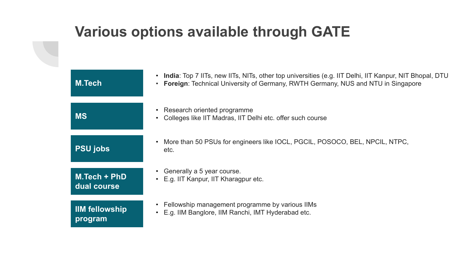#### **Various options available through GATE**

| <b>M.Tech</b>                   | India: Top 7 IITs, new IITs, NITs, other top universities (e.g. IIT Delhi, IIT Kanpur, NIT Bhopal, DTU<br>Foreign: Technical University of Germany, RWTH Germany, NUS and NTU in Singapore |
|---------------------------------|--------------------------------------------------------------------------------------------------------------------------------------------------------------------------------------------|
| <b>MS</b>                       | • Research oriented programme<br>Colleges like IIT Madras, IIT Delhi etc. offer such course                                                                                                |
| <b>PSU</b> jobs                 | More than 50 PSUs for engineers like IOCL, PGCIL, POSOCO, BEL, NPCIL, NTPC,<br>etc.                                                                                                        |
| $M.Tech + PhD$<br>dual course   | Generally a 5 year course.<br>E.g. IIT Kanpur, IIT Kharagpur etc.                                                                                                                          |
| <b>IM</b> fellowship<br>program | • Fellowship management programme by various IIMs<br>E.g. IIM Banglore, IIM Ranchi, IMT Hyderabad etc.                                                                                     |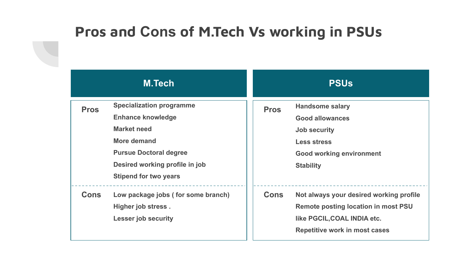#### **Pros and Cons of M.Tech Vs working in PSUs**

| <b>M.Tech</b> |                                                                                                                                                                                              | <b>PSUs</b> |                                                                                                                                                      |
|---------------|----------------------------------------------------------------------------------------------------------------------------------------------------------------------------------------------|-------------|------------------------------------------------------------------------------------------------------------------------------------------------------|
| <b>Pros</b>   | <b>Specialization programme</b><br><b>Enhance knowledge</b><br>Market need<br>More demand<br><b>Pursue Doctoral degree</b><br>Desired working profile in job<br><b>Stipend for two years</b> | <b>Pros</b> | <b>Handsome salary</b><br><b>Good allowances</b><br><b>Job security</b><br><b>Less stress</b><br><b>Good working environment</b><br><b>Stability</b> |
| <b>Cons</b>   | Low package jobs (for some branch)<br>Higher job stress.<br><b>Lesser job security</b>                                                                                                       | <b>Cons</b> | Not always your desired working profile<br>Remote posting location in most PSU<br>like PGCIL, COAL INDIA etc.<br>Repetitive work in most cases       |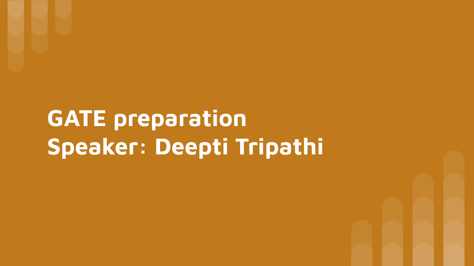# **GATE preparation Speaker: Deepti Tripathi**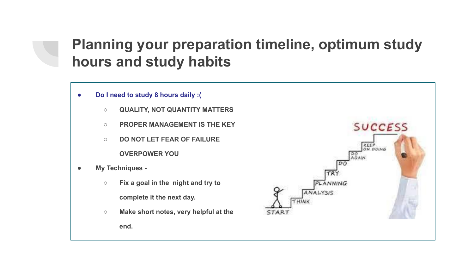### **Planning your preparation timeline, optimum study hours and study habits**

- **● Do I need to study 8 hours daily :(**
	- **○ QUALITY, NOT QUANTITY MATTERS**
	- **○ PROPER MANAGEMENT IS THE KEY**
	- **○ DO NOT LET FEAR OF FAILURE OVERPOWER YOU**
- **● My Techniques -**
	- **○ Fix a goal in the night and try to complete it the next day.**
	- **○ Make short notes, very helpful at the end.**

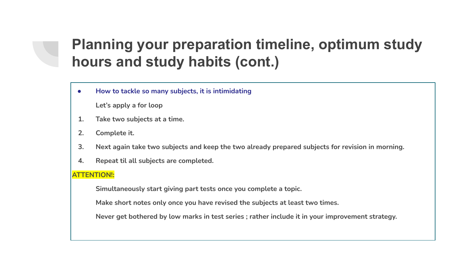### **Planning your preparation timeline, optimum study hours and study habits (cont.)**

**● How to tackle so many subjects, it is intimidating** 

**Let's apply a for loop**

- **1. Take two subjects at a time.**
- **2. Complete it.**
- **3. Next again take two subjects and keep the two already prepared subjects for revision in morning.**
- **4. Repeat til all subjects are completed.**

#### **ATTENTION!:**

**Simultaneously start giving part tests once you complete a topic.**

**Make short notes only once you have revised the subjects at least two times.**

**Never get bothered by low marks in test series ; rather include it in your improvement strategy.**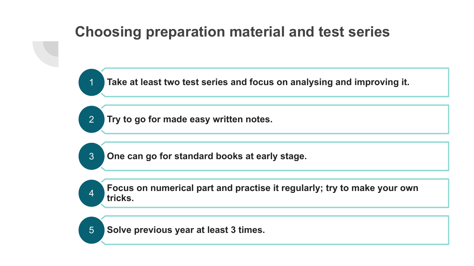### **Choosing preparation material and test series**

1 **Take at least two test series and focus on analysing and improving it.**

2 **Try to go for made easy written notes.**

3 **One can go for standard books at early stage.**

**Focus on numerical part and practise it regularly; try to make your own**  4 tricks.

5 **Solve previous year at least 3 times.**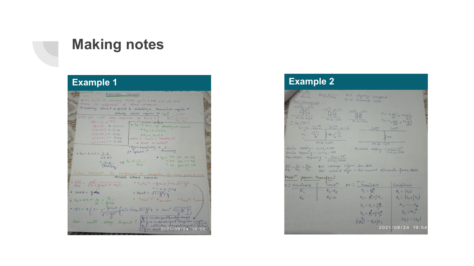#### **Making notes**

| CONTROL SYSTEM                                                                                                                                                                                                                                                                                                                 |
|--------------------------------------------------------------------------------------------------------------------------------------------------------------------------------------------------------------------------------------------------------------------------------------------------------------------------------|
| SIC hair or steady state gain : Put 500 in Tot.                                                                                                                                                                                                                                                                                |
| > Pole is resiprocal of time constant.                                                                                                                                                                                                                                                                                         |
| => Settling time 1 => speed & stability & transient region 1                                                                                                                                                                                                                                                                   |
| exactly state expire a $3$                                                                                                                                                                                                                                                                                                     |
|                                                                                                                                                                                                                                                                                                                                |
|                                                                                                                                                                                                                                                                                                                                |
| $\bullet$ td $\to$ 50% of steady st. value<br>$c(+5c) = 0.632$                                                                                                                                                                                                                                                                 |
| $C(t=2C) = 0.86$<br>$+d = 0.693C$<br>$e(t=5c) = 0.95$                                                                                                                                                                                                                                                                          |
| otys hoht<br>$c(+145) = 0.98$                                                                                                                                                                                                                                                                                                  |
| $68WX$ Gain = constant<br>$c(t=5c) = 0.99$                                                                                                                                                                                                                                                                                     |
| $\theta$ $\theta \wedge \theta$ $\rightarrow$ notsel<br>$BWA$ stability $\alpha$ $\perp$                                                                                                                                                                                                                                       |
| ft speed to Accuracy                                                                                                                                                                                                                                                                                                           |
| $\bullet$ $\star = \lambda - 2z = \lambda - 2$                                                                                                                                                                                                                                                                                 |
| $\frac{1}{2}$ $\frac{1}{2}$ $\frac{1}{2}$ $\frac{1}{2}$ $\frac{1}{2}$ $\frac{1}{2}$ $\frac{1}{2}$ $\frac{1}{2}$ $\frac{1}{2}$ $\frac{1}{2}$ $\frac{1}{2}$ $\frac{1}{2}$ $\frac{1}{2}$ $\frac{1}{2}$ $\frac{1}{2}$ $\frac{1}{2}$ $\frac{1}{2}$ $\frac{1}{2}$ $\frac{1}{2}$ $\frac{1}{2}$ $\frac{1}{2}$ $\frac{1}{2}$<br>$27$ RC |
| $\Rightarrow$ tr d $\frac{1}{8}$<br>$= 52 + 68 + 14.78$<br>$= 2.2$<br>$752$ for $37.18$                                                                                                                                                                                                                                        |
| $(Bw)_{Hg}$                                                                                                                                                                                                                                                                                                                    |
| Time constant is reciprocal of docation of real part of CLP.                                                                                                                                                                                                                                                                   |
| SECOND ORDER SYSTEM                                                                                                                                                                                                                                                                                                            |
| $\frac{c(s)}{R(s)} = \frac{\omega_n^2}{s^2 + 2g\omega_n s + \omega_n^2}$<br>$s_{13}s_{2} = -\frac{e}{3}\omega_{n\pm} \int \omega_{n}\sqrt{1-\xi^{2}}$                                                                                                                                                                          |
|                                                                                                                                                                                                                                                                                                                                |
| $=-\alpha \pm \int^{\alpha} \omega d$<br>$\circ$ $cos \theta = \frac{c}{2}$                                                                                                                                                                                                                                                    |
| $\frac{1}{2} \tan \theta = \sqrt{1 - \frac{p^2}{g}} \xi$                                                                                                                                                                                                                                                                       |
| · tscri < t sunder · tscrib tsore<br>• $t_s = 4t = \frac{4}{\lambda} = \frac{4}{6\omega_0}$                                                                                                                                                                                                                                    |
|                                                                                                                                                                                                                                                                                                                                |
|                                                                                                                                                                                                                                                                                                                                |
| $\cdot$ c(t) = A [ $t = \frac{e^{-\frac{C}{3} \omega_0 t}}{\sqrt{1-\frac{C}{3}t}}$ (cir (wo $\sqrt{1-\frac{C}{3}t}$ + tan <sup>-1</sup> $\sqrt{1-\frac{C}{3}t}$ )                                                                                                                                                              |
|                                                                                                                                                                                                                                                                                                                                |
|                                                                                                                                                                                                                                                                                                                                |
| For unit step input: $\begin{bmatrix} 60 \text{ undamped fruely } \frac{1}{2} \\ 60 \text{ undamped fruly } \frac{1}{2} \\ 6 \text{g} \end{bmatrix}$ unit step imput:                                                                                                                                                          |
|                                                                                                                                                                                                                                                                                                                                |

#### **Example 1 Example 2**  $\frac{k-\underline{M}}{\sqrt{\overline{L_1 L_2}}}$   $M \le \sqrt{\overline{L_1 L_2}}$   $k=1$  dignetry empted<br>t connections.  $\frac{\frac{\Delta_0 t \text{ (carnate) on }t}{\Delta_0 t}}{\frac{1}{\Delta_0 t} \sum_{i=1}^{n} \frac{\Delta_0 t}{\Delta_i t}}$  $\begin{array}{c}\n\begin{array}{c}\n\longrightarrow i \\
\downarrow \\
\downarrow \\
\end{array} \\
\hline\n\begin{array}{c}\n\downarrow \\
\downarrow \\
\end{array} \\
\hline\n\begin{array}{c}\n\downarrow \\
\downarrow \\
\end{array} \\
\hline\n\begin{array}{c}\n\downarrow \\
\downarrow \\
\end{array} \\
\hline\n\begin{array}{c}\n\downarrow \\
\downarrow \\
\end{array} \\
\hline\n\begin{array}{c}\n\downarrow \\
\downarrow \\
\end{array} \\
\hline\n\begin{array}{c}\n\downarrow \\
\downarrow \\
\end{array} \\
\hline\n\begin{array}{c}\n\downarrow \\
\downarrow \\
\end{array} \\
\hline\n$  $\frac{\frac{1}{\sqrt{2}}\sum\limits_{i=1}^{n}c_i}{\sum\limits_{i=1}^{n}c_i}$  $V_1 = L_1 \frac{di}{dt} + M \frac{di^2}{dt}$  $v_{2} = c_{2} d\lambda$  $M \frac{di}{dt}$ eq CKG:  $\frac{l_1 - M}{l_1 - M_2}$   $\frac{l_2 - M}{l_2 - M_1}$  $L_1 + M$   $L_2 + M$  $\begin{picture}(220,20) \put(0,0){\dashbox{0.5}(5,0){ }} \thicklines \put(0,0){\dashbox{0.5}(5,0){ }} \thicklines \put(0,0){\dashbox{0.5}(5,0){ }} \thicklines \put(0,0){\dashbox{0.5}(5,0){ }} \thicklines \put(0,0){\dashbox{0.5}(5,0){ }} \thicklines \put(0,0){\dashbox{0.5}(5,0){ }} \thicklines \put(0,0){\dashbox{0.5}(5,0){ }} \thicklines \put(0,0){\dashbox{0.5}(5,0){ }} \thicklines \put(0,0){\dashbox{0.5}(5$  $\frac{1}{2}M$  $\vee$ ,  $M -$ Mis tive  $M_{ub}^2$  -jue Series Adding =  $k_1 + k_2 + 2M$ <br>Series Opposing =  $k_1 + k_2 - 2M$ faculted Adding =  $\frac{k_1 k_2 - M^2}{k_1 + k_2 - 2 M}$ Parallel opposing =  $\frac{k_1k_2 - M^2}{k_1 + k_2 + 2M}$  $\frac{N!}{N_2} \approx \frac{V_1}{V_2} \approx \frac{\Omega_2}{\Omega_1} \quad \text{for voltage } \mathcal{L}_Q^2 N^{\perp} \text{ of } G \text{ is the cluster of the frame.}$ Maxim power transfer: cond<sup>n</sup> Ac d'Ouieble C: Variable Condition  $R_L$  $R_2 = R_S$  $Z_L = R_L^2$  $R_{L} = 12s$  $Z_{L} = \hat{p}_{L}^{2} + jX_{L}$  $R_{L} = [x_{s} + y_{t}]$  $R_s = 0$  $R_{8}$  $z_{L} = R_{L} + j \frac{R_{L}}{L}$ <br>  $z_{L} = \frac{R_{L} + j \times T}{L}$ <br>  $\frac{1}{R_{L} + j \times L} = R_{L} + j \times L$  $X_L = -X_S$

 $21 = 25$  $|z_1| = |z_5|$ 2021/09/24 19:54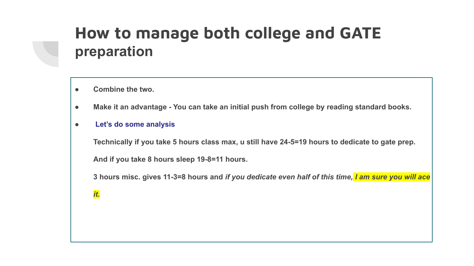# **How to manage both college and GATE preparation**

- **● Combine the two.**
- **● Make it an advantage You can take an initial push from college by reading standard books.**
- **● Let's do some analysis**

**Technically if you take 5 hours class max, u still have 24-5=19 hours to dedicate to gate prep.** 

**And if you take 8 hours sleep 19-8=11 hours.**

**3 hours misc. gives 11-3=8 hours and** *if you dedicate even half of this time, I am sure you will ace*

*it.*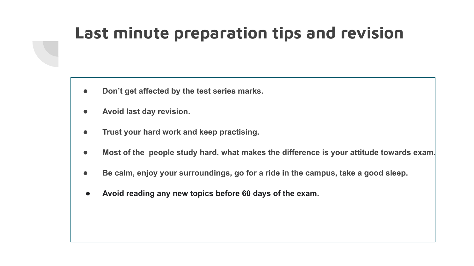# **Last minute preparation tips and revision**

- **● Don't get affected by the test series marks.**
- **● Avoid last day revision.**
- **● Trust your hard work and keep practising.**
- **● Most of the people study hard, what makes the difference is your attitude towards exam.**
- **● Be calm, enjoy your surroundings, go for a ride in the campus, take a good sleep.**
- **● Avoid reading any new topics before 60 days of the exam.**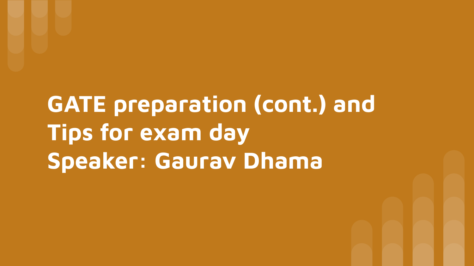# **GATE preparation (cont.) and Tips for exam day Speaker: Gaurav Dhama**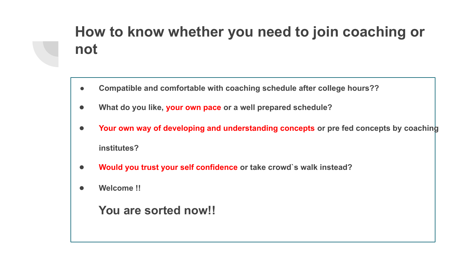# **How to know whether you need to join coaching or not**

- **● Compatible and comfortable with coaching schedule after college hours??**
- **● What do you like, your own pace or a well prepared schedule?**
- **● Your own way of developing and understanding concepts or pre fed concepts by coaching institutes?**
- **● Would you trust your self confidence or take crowd`s walk instead?**
- **● Welcome !!**

**You are sorted now!!**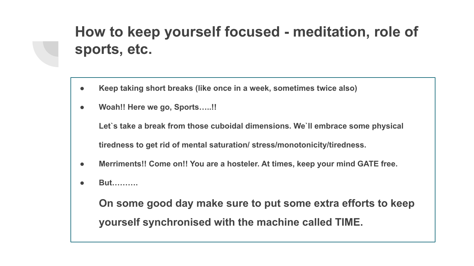# **How to keep yourself focused - meditation, role of sports, etc.**

- **● Keep taking short breaks (like once in a week, sometimes twice also)**
- **● Woah!! Here we go, Sports…..!!**

**Let`s take a break from those cuboidal dimensions. We`ll embrace some physical tiredness to get rid of mental saturation/ stress/monotonicity/tiredness.**

- **● Merriments!! Come on!! You are a hosteler. At times, keep your mind GATE free.**
- **● But……….**

**On some good day make sure to put some extra efforts to keep yourself synchronised with the machine called TIME.**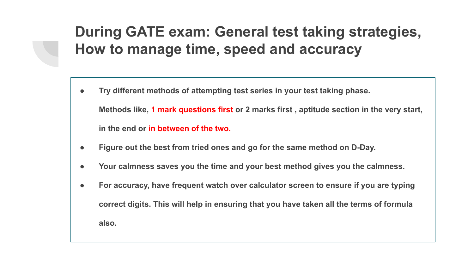## **During GATE exam: General test taking strategies, How to manage time, speed and accuracy**

- **● Try different methods of attempting test series in your test taking phase. Methods like, 1 mark questions first or 2 marks first , aptitude section in the very start, in the end or in between of the two.**
- **● Figure out the best from tried ones and go for the same method on D-Day.**
- **● Your calmness saves you the time and your best method gives you the calmness.**
- **● For accuracy, have frequent watch over calculator screen to ensure if you are typing correct digits. This will help in ensuring that you have taken all the terms of formula also.**